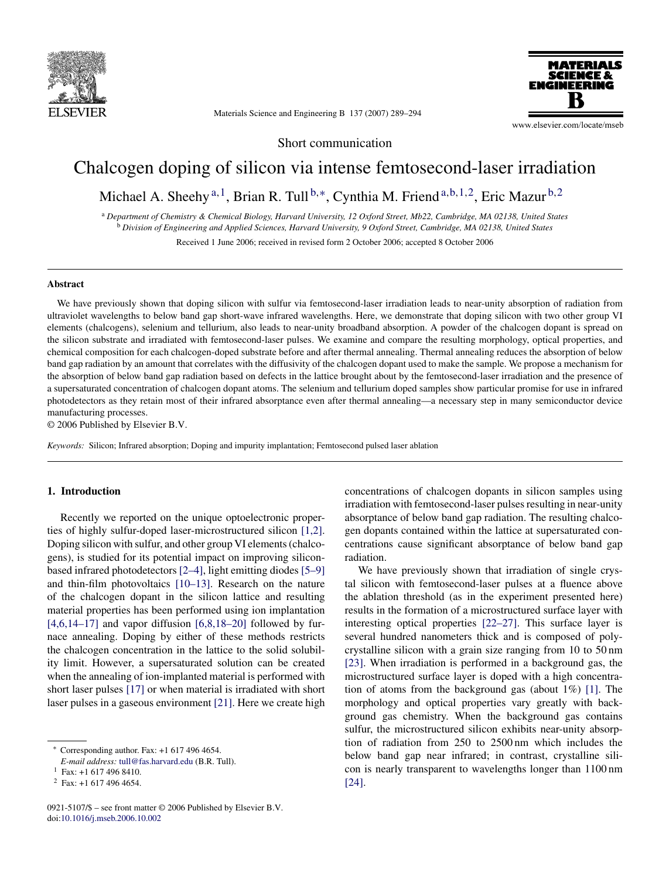

Materials Science and Engineering B 137 (2007) 289–294



www.elsevier.com/locate/mseb

Short communication

# Chalcogen doping of silicon via intense femtosecond-laser irradiation

Michael A. Sheehy a, 1, Brian R. Tull b,\*, Cynthia M. Friend a, b, 1,2, Eric Mazur b, 2

<sup>a</sup> *Department of Chemistry & Chemical Biology, Harvard University, 12 Oxford Street, Mb22, Cambridge, MA 02138, United States* <sup>b</sup> *Division of Engineering and Applied Sciences, Harvard University, 9 Oxford Street, Cambridge, MA 02138, United States*

Received 1 June 2006; received in revised form 2 October 2006; accepted 8 October 2006

#### **Abstract**

We have previously shown that doping silicon with sulfur via femtosecond-laser irradiation leads to near-unity absorption of radiation from ultraviolet wavelengths to below band gap short-wave infrared wavelengths. Here, we demonstrate that doping silicon with two other group VI elements (chalcogens), selenium and tellurium, also leads to near-unity broadband absorption. A powder of the chalcogen dopant is spread on the silicon substrate and irradiated with femtosecond-laser pulses. We examine and compare the resulting morphology, optical properties, and chemical composition for each chalcogen-doped substrate before and after thermal annealing. Thermal annealing reduces the absorption of below band gap radiation by an amount that correlates with the diffusivity of the chalcogen dopant used to make the sample. We propose a mechanism for the absorption of below band gap radiation based on defects in the lattice brought about by the femtosecond-laser irradiation and the presence of a supersaturated concentration of chalcogen dopant atoms. The selenium and tellurium doped samples show particular promise for use in infrared photodetectors as they retain most of their infrared absorptance even after thermal annealing—a necessary step in many semiconductor device manufacturing processes.

© 2006 Published by Elsevier B.V.

*Keywords:* Silicon; Infrared absorption; Doping and impurity implantation; Femtosecond pulsed laser ablation

### **1. Introduction**

Recently we reported on the unique optoelectronic properties of highly sulfur-doped laser-microstructured silicon [\[1,2\].](#page-4-0) Doping silicon with sulfur, and other group VI elements (chalcogens), is studied for its potential impact on improving siliconbased infrared photodetectors [\[2–4\], l](#page-4-0)ight emitting diodes [\[5–9\]](#page-4-0) and thin-film photovoltaics [\[10–13\].](#page-4-0) Research on the nature of the chalcogen dopant in the silicon lattice and resulting material properties has been performed using ion implantation  $[4,6,14-17]$  and vapor diffusion  $[6,8,18-20]$  followed by furnace annealing. Doping by either of these methods restricts the chalcogen concentration in the lattice to the solid solubility limit. However, a supersaturated solution can be created when the annealing of ion-implanted material is performed with short laser pulses [\[17\]](#page-4-0) or when material is irradiated with short laser pulses in a gaseous environment [\[21\]. H](#page-4-0)ere we create high

concentrations of chalcogen dopants in silicon samples using irradiation with femtosecond-laser pulses resulting in near-unity absorptance of below band gap radiation. The resulting chalcogen dopants contained within the lattice at supersaturated concentrations cause significant absorptance of below band gap radiation.

We have previously shown that irradiation of single crystal silicon with femtosecond-laser pulses at a fluence above the ablation threshold (as in the experiment presented here) results in the formation of a microstructured surface layer with interesting optical properties [\[22–27\].](#page-4-0) This surface layer is several hundred nanometers thick and is composed of polycrystalline silicon with a grain size ranging from 10 to 50 nm [\[23\].](#page-4-0) When irradiation is performed in a background gas, the microstructured surface layer is doped with a high concentration of atoms from the background gas (about 1%) [\[1\].](#page-4-0) The morphology and optical properties vary greatly with background gas chemistry. When the background gas contains sulfur, the microstructured silicon exhibits near-unity absorption of radiation from 250 to 2500 nm which includes the below band gap near infrared; in contrast, crystalline silicon is nearly transparent to wavelengths longer than 1100 nm [\[24\].](#page-4-0)

Corresponding author. Fax:  $+1$  617 496 4654.

*E-mail address:* [tull@fas.harvard.edu](mailto:tull@fas.harvard.edu) (B.R. Tull).

<sup>1</sup> Fax: +1 617 496 8410.

 $2$  Fax: +1 617 496 4654.

<sup>0921-5107/\$ –</sup> see front matter © 2006 Published by Elsevier B.V. doi[:10.1016/j.mseb.2006.10.002](dx.doi.org/10.1016/j.mseb.2006.10.002)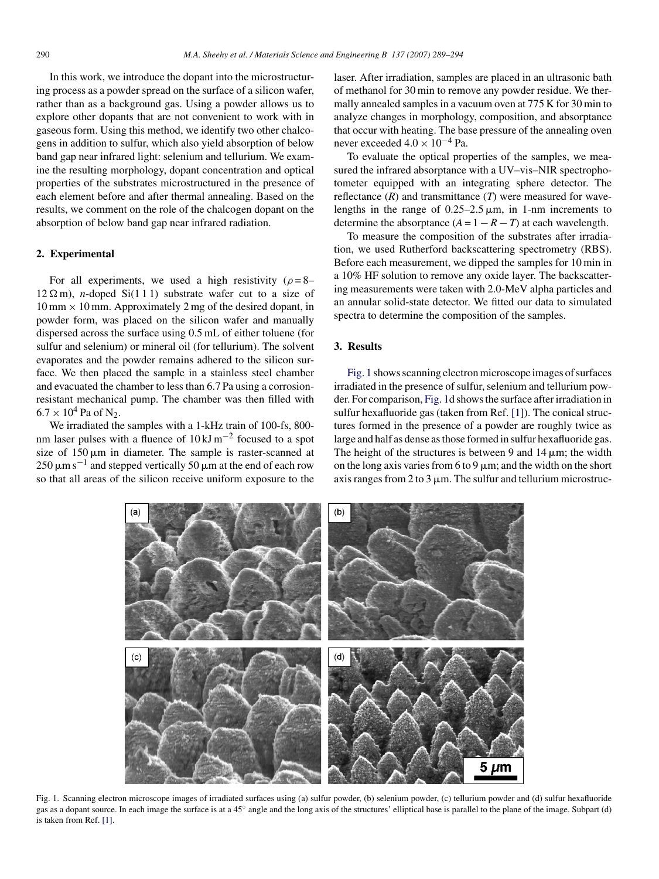<span id="page-1-0"></span>In this work, we introduce the dopant into the microstructuring process as a powder spread on the surface of a silicon wafer, rather than as a background gas. Using a powder allows us to explore other dopants that are not convenient to work with in gaseous form. Using this method, we identify two other chalcogens in addition to sulfur, which also yield absorption of below band gap near infrared light: selenium and tellurium. We examine the resulting morphology, dopant concentration and optical properties of the substrates microstructured in the presence of each element before and after thermal annealing. Based on the results, we comment on the role of the chalcogen dopant on the absorption of below band gap near infrared radiation.

### **2. Experimental**

For all experiments, we used a high resistivity ( $\rho = 8$ –  $12 \Omega$  m), *n*-doped Si(1 1 1) substrate wafer cut to a size of  $10 \text{ mm} \times 10 \text{ mm}$ . Approximately 2 mg of the desired dopant, in powder form, was placed on the silicon wafer and manually dispersed across the surface using 0.5 mL of either toluene (for sulfur and selenium) or mineral oil (for tellurium). The solvent evaporates and the powder remains adhered to the silicon surface. We then placed the sample in a stainless steel chamber and evacuated the chamber to less than 6.7 Pa using a corrosionresistant mechanical pump. The chamber was then filled with  $6.7 \times 10^4$  Pa of N<sub>2</sub>.

We irradiated the samples with a 1-kHz train of 100-fs, 800nm laser pulses with a fluence of  $10 \text{ kJ m}^{-2}$  focused to a spot size of  $150 \,\mu m$  in diameter. The sample is raster-scanned at 250  $\mu$ m s<sup>-1</sup> and stepped vertically 50  $\mu$ m at the end of each row so that all areas of the silicon receive uniform exposure to the

laser. After irradiation, samples are placed in an ultrasonic bath of methanol for 30 min to remove any powder residue. We thermally annealed samples in a vacuum oven at 775 K for 30 min to analyze changes in morphology, composition, and absorptance that occur with heating. The base pressure of the annealing oven never exceeded  $4.0 \times 10^{-4}$  Pa.

To evaluate the optical properties of the samples, we measured the infrared absorptance with a UV–vis–NIR spectrophotometer equipped with an integrating sphere detector. The reflectance (*R*) and transmittance (*T*) were measured for wavelengths in the range of  $0.25-2.5 \mu m$ , in 1-nm increments to determine the absorptance  $(A = 1 - R - T)$  at each wavelength.

To measure the composition of the substrates after irradiation, we used Rutherford backscattering spectrometry (RBS). Before each measurement, we dipped the samples for 10 min in a 10% HF solution to remove any oxide layer. The backscattering measurements were taken with 2.0-MeV alpha particles and an annular solid-state detector. We fitted our data to simulated spectra to determine the composition of the samples.

### **3. Results**

Fig. 1 shows scanning electron microscope images of surfaces irradiated in the presence of sulfur, selenium and tellurium powder. For comparison, Fig. 1d shows the surface after irradiation in sulfur hexafluoride gas (taken from Ref. [\[1\]\).](#page-4-0) The conical structures formed in the presence of a powder are roughly twice as large and half as dense as those formed in sulfur hexafluoride gas. The height of the structures is between 9 and  $14 \mu m$ ; the width on the long axis varies from 6 to 9  $\mu$ m; and the width on the short axis ranges from 2 to 3  $\mu$ m. The sulfur and tellurium microstruc-



Fig. 1. Scanning electron microscope images of irradiated surfaces using (a) sulfur powder, (b) selenium powder, (c) tellurium powder and (d) sulfur hexafluoride gas as a dopant source. In each image the surface is at a 45° angle and the long axis of the structures' elliptical base is parallel to the plane of the image. Subpart (d) is taken from Ref. [\[1\].](#page-4-0)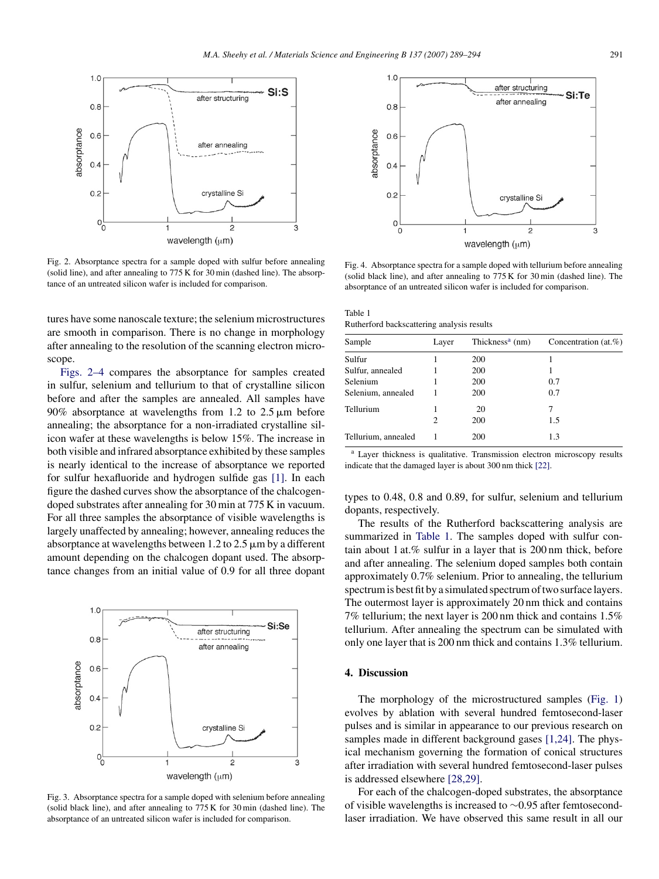<span id="page-2-0"></span>

Fig. 2. Absorptance spectra for a sample doped with sulfur before annealing (solid line), and after annealing to 775 K for 30 min (dashed line). The absorptance of an untreated silicon wafer is included for comparison.

tures have some nanoscale texture; the selenium microstructures are smooth in comparison. There is no change in morphology after annealing to the resolution of the scanning electron microscope.

Figs. 2–4 compares the absorptance for samples created in sulfur, selenium and tellurium to that of crystalline silicon before and after the samples are annealed. All samples have 90% absorptance at wavelengths from 1.2 to  $2.5 \mu m$  before annealing; the absorptance for a non-irradiated crystalline silicon wafer at these wavelengths is below 15%. The increase in both visible and infrared absorptance exhibited by these samples is nearly identical to the increase of absorptance we reported for sulfur hexafluoride and hydrogen sulfide gas [\[1\].](#page-4-0) In each figure the dashed curves show the absorptance of the chalcogendoped substrates after annealing for 30 min at 775 K in vacuum. For all three samples the absorptance of visible wavelengths is largely unaffected by annealing; however, annealing reduces the absorptance at wavelengths between 1.2 to 2.5  $\mu$ m by a different amount depending on the chalcogen dopant used. The absorptance changes from an initial value of 0.9 for all three dopant



Fig. 3. Absorptance spectra for a sample doped with selenium before annealing (solid black line), and after annealing to 775 K for 30 min (dashed line). The absorptance of an untreated silicon wafer is included for comparison.



Fig. 4. Absorptance spectra for a sample doped with tellurium before annealing (solid black line), and after annealing to 775 K for 30 min (dashed line). The absorptance of an untreated silicon wafer is included for comparison.

Table 1 Rutherford backscattering analysis results

| Sample              | Layer          | Thickness <sup><math>a</math></sup> (nm) | Concentration $(at.\%)$ |
|---------------------|----------------|------------------------------------------|-------------------------|
| Sulfur              |                | 200                                      |                         |
| Sulfur, annealed    |                | 200                                      |                         |
| Selenium            |                | 200                                      | 0.7                     |
| Selenium, annealed  |                | 200                                      | 0.7                     |
| Tellurium           |                | 20                                       |                         |
|                     | $\mathfrak{D}$ | 200                                      | 1.5                     |
| Tellurium, annealed |                | 200                                      | 1.3                     |

<sup>a</sup> Layer thickness is qualitative. Transmission electron microscopy results indicate that the damaged layer is about 300 nm thick [\[22\].](#page-4-0)

types to 0.48, 0.8 and 0.89, for sulfur, selenium and tellurium dopants, respectively.

The results of the Rutherford backscattering analysis are summarized in Table 1. The samples doped with sulfur contain about 1 at.% sulfur in a layer that is 200 nm thick, before and after annealing. The selenium doped samples both contain approximately 0.7% selenium. Prior to annealing, the tellurium spectrum is best fit by a simulated spectrum of two surface layers. The outermost layer is approximately 20 nm thick and contains 7% tellurium; the next layer is 200 nm thick and contains 1.5% tellurium. After annealing the spectrum can be simulated with only one layer that is 200 nm thick and contains 1.3% tellurium.

## **4. Discussion**

The morphology of the microstructured samples [\(Fig. 1\)](#page-1-0) evolves by ablation with several hundred femtosecond-laser pulses and is similar in appearance to our previous research on samples made in different background gases [\[1,24\].](#page-4-0) The physical mechanism governing the formation of conical structures after irradiation with several hundred femtosecond-laser pulses is addressed elsewhere [\[28,29\].](#page-5-0)

For each of the chalcogen-doped substrates, the absorptance of visible wavelengths is increased to ∼0.95 after femtosecondlaser irradiation. We have observed this same result in all our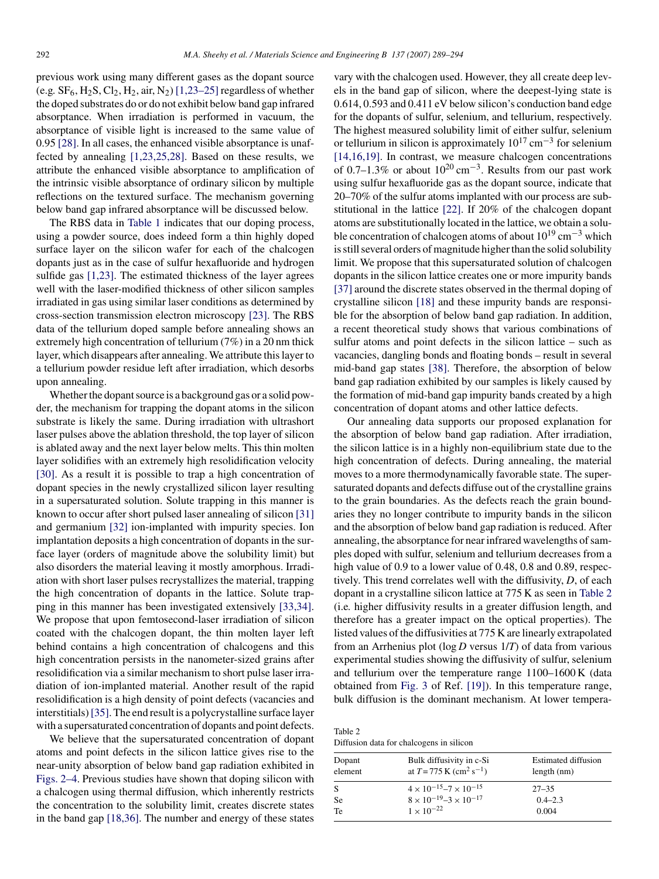<span id="page-3-0"></span>previous work using many different gases as the dopant source (e.g.  $SF_6$ ,  $H_2S$ ,  $Cl_2$ ,  $H_2$ , air,  $N_2$ ) [\[1,23–25\]](#page-4-0) regardless of whether the doped substrates do or do not exhibit below band gap infrared absorptance. When irradiation is performed in vacuum, the absorptance of visible light is increased to the same value of 0.95 [\[28\]. I](#page-5-0)n all cases, the enhanced visible absorptance is unaffected by annealing [\[1,23,25,28\].](#page-4-0) Based on these results, we attribute the enhanced visible absorptance to amplification of the intrinsic visible absorptance of ordinary silicon by multiple reflections on the textured surface. The mechanism governing below band gap infrared absorptance will be discussed below.

The RBS data in [Table 1](#page-2-0) indicates that our doping process, using a powder source, does indeed form a thin highly doped surface layer on the silicon wafer for each of the chalcogen dopants just as in the case of sulfur hexafluoride and hydrogen sulfide gas [\[1,23\].](#page-4-0) The estimated thickness of the layer agrees well with the laser-modified thickness of other silicon samples irradiated in gas using similar laser conditions as determined by cross-section transmission electron microscopy [\[23\].](#page-4-0) The RBS data of the tellurium doped sample before annealing shows an extremely high concentration of tellurium (7%) in a 20 nm thick layer, which disappears after annealing. We attribute this layer to a tellurium powder residue left after irradiation, which desorbs upon annealing.

Whether the dopant source is a background gas or a solid powder, the mechanism for trapping the dopant atoms in the silicon substrate is likely the same. During irradiation with ultrashort laser pulses above the ablation threshold, the top layer of silicon is ablated away and the next layer below melts. This thin molten layer solidifies with an extremely high resolidification velocity [\[30\].](#page-5-0) As a result it is possible to trap a high concentration of dopant species in the newly crystallized silicon layer resulting in a supersaturated solution. Solute trapping in this manner is known to occur after short pulsed laser annealing of silicon [\[31\]](#page-5-0) and germanium [\[32\]](#page-5-0) ion-implanted with impurity species. Ion implantation deposits a high concentration of dopants in the surface layer (orders of magnitude above the solubility limit) but also disorders the material leaving it mostly amorphous. Irradiation with short laser pulses recrystallizes the material, trapping the high concentration of dopants in the lattice. Solute trapping in this manner has been investigated extensively [\[33,34\].](#page-5-0) We propose that upon femtosecond-laser irradiation of silicon coated with the chalcogen dopant, the thin molten layer left behind contains a high concentration of chalcogens and this high concentration persists in the nanometer-sized grains after resolidification via a similar mechanism to short pulse laser irradiation of ion-implanted material. Another result of the rapid resolidification is a high density of point defects (vacancies and interstitials)[\[35\]. T](#page-5-0)he end result is a polycrystalline surface layer with a supersaturated concentration of dopants and point defects.

We believe that the supersaturated concentration of dopant atoms and point defects in the silicon lattice gives rise to the near-unity absorption of below band gap radiation exhibited in [Figs. 2–4. P](#page-2-0)revious studies have shown that doping silicon with a chalcogen using thermal diffusion, which inherently restricts the concentration to the solubility limit, creates discrete states in the band gap [\[18,36\]. T](#page-4-0)he number and energy of these states

vary with the chalcogen used. However, they all create deep levels in the band gap of silicon, where the deepest-lying state is 0.614, 0.593 and 0.411 eV below silicon's conduction band edge for the dopants of sulfur, selenium, and tellurium, respectively. The highest measured solubility limit of either sulfur, selenium or tellurium in silicon is approximately  $10^{17}$  cm<sup>-3</sup> for selenium [\[14,16,19\].](#page-4-0) In contrast, we measure chalcogen concentrations of 0.7–1.3% or about  $10^{20}$  cm<sup>-3</sup>. Results from our past work using sulfur hexafluoride gas as the dopant source, indicate that 20–70% of the sulfur atoms implanted with our process are substitutional in the lattice [\[22\].](#page-4-0) If 20% of the chalcogen dopant atoms are substitutionally located in the lattice, we obtain a soluble concentration of chalcogen atoms of about  $10^{19}$  cm<sup>-3</sup> which is still several orders of magnitude higher than the solid solubility limit. We propose that this supersaturated solution of chalcogen dopants in the silicon lattice creates one or more impurity bands [\[37\]](#page-5-0) around the discrete states observed in the thermal doping of crystalline silicon [\[18\]](#page-4-0) and these impurity bands are responsible for the absorption of below band gap radiation. In addition, a recent theoretical study shows that various combinations of sulfur atoms and point defects in the silicon lattice – such as vacancies, dangling bonds and floating bonds – result in several mid-band gap states [\[38\].](#page-5-0) Therefore, the absorption of below band gap radiation exhibited by our samples is likely caused by the formation of mid-band gap impurity bands created by a high concentration of dopant atoms and other lattice defects.

Our annealing data supports our proposed explanation for the absorption of below band gap radiation. After irradiation, the silicon lattice is in a highly non-equilibrium state due to the high concentration of defects. During annealing, the material moves to a more thermodynamically favorable state. The supersaturated dopants and defects diffuse out of the crystalline grains to the grain boundaries. As the defects reach the grain boundaries they no longer contribute to impurity bands in the silicon and the absorption of below band gap radiation is reduced. After annealing, the absorptance for near infrared wavelengths of samples doped with sulfur, selenium and tellurium decreases from a high value of 0.9 to a lower value of 0.48, 0.8 and 0.89, respectively. This trend correlates well with the diffusivity, *D*, of each dopant in a crystalline silicon lattice at 775 K as seen in Table 2 (i.e*.* higher diffusivity results in a greater diffusion length, and therefore has a greater impact on the optical properties). The listed values of the diffusivities at 775 K are linearly extrapolated from an Arrhenius plot (log *D* versus 1/*T*) of data from various experimental studies showing the diffusivity of sulfur, selenium and tellurium over the temperature range 1100–1600 K (data obtained from [Fig. 3](#page-2-0) of Ref. [\[19\]\).](#page-4-0) In this temperature range, bulk diffusion is the dominant mechanism. At lower tempera-

Table 2 Diffusion data for chalcogens in silicon

| Dopant    | Bulk diffusivity in c-Si                     | <b>Estimated diffusion</b> |
|-----------|----------------------------------------------|----------------------------|
| element   | at $T = 775 \text{ K (cm}^2 \text{ s}^{-1})$ | length (nm)                |
| S         | $4 \times 10^{-15} - 7 \times 10^{-15}$      | $27 - 35$                  |
| <b>Se</b> | $8 \times 10^{-19} - 3 \times 10^{-17}$      | $0.4 - 2.3$                |
| Te.       | $1 \times 10^{-22}$                          | 0.004                      |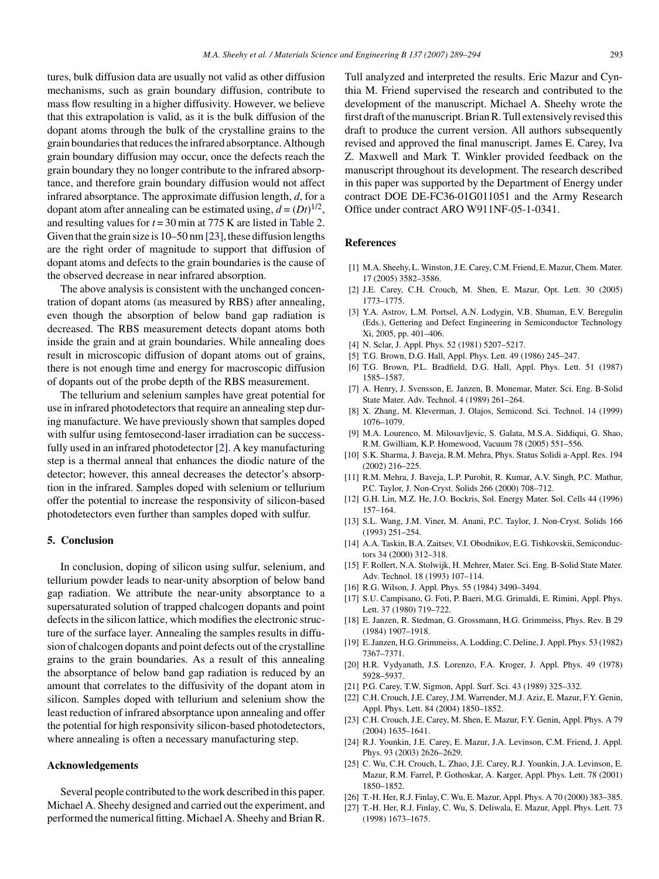<span id="page-4-0"></span>tures, bulk diffusion data are usually not valid as other diffusion mechanisms, such as grain boundary diffusion, contribute to mass flow resulting in a higher diffusivity. However, we believe that this extrapolation is valid, as it is the bulk diffusion of the dopant atoms through the bulk of the crystalline grains to the grain boundaries that reduces the infrared absorptance. Although grain boundary diffusion may occur, once the defects reach the grain boundary they no longer contribute to the infrared absorptance, and therefore grain boundary diffusion would not affect infrared absorptance. The approximate diffusion length, *d*, for a dopant atom after annealing can be estimated using,  $d = (Dt)^{1/2}$ , and resulting values for *t* = 30 min at 775 K are listed in [Table 2.](#page-3-0) Given that the grain size is 10–50 nm[23], these diffusion lengths are the right order of magnitude to support that diffusion of dopant atoms and defects to the grain boundaries is the cause of the observed decrease in near infrared absorption.

The above analysis is consistent with the unchanged concentration of dopant atoms (as measured by RBS) after annealing, even though the absorption of below band gap radiation is decreased. The RBS measurement detects dopant atoms both inside the grain and at grain boundaries. While annealing does result in microscopic diffusion of dopant atoms out of grains, there is not enough time and energy for macroscopic diffusion of dopants out of the probe depth of the RBS measurement.

The tellurium and selenium samples have great potential for use in infrared photodetectors that require an annealing step during manufacture. We have previously shown that samples doped with sulfur using femtosecond-laser irradiation can be successfully used in an infrared photodetector [2]. A key manufacturing step is a thermal anneal that enhances the diodic nature of the detector; however, this anneal decreases the detector's absorption in the infrared. Samples doped with selenium or tellurium offer the potential to increase the responsivity of silicon-based photodetectors even further than samples doped with sulfur.

#### **5. Conclusion**

In conclusion, doping of silicon using sulfur, selenium, and tellurium powder leads to near-unity absorption of below band gap radiation. We attribute the near-unity absorptance to a supersaturated solution of trapped chalcogen dopants and point defects in the silicon lattice, which modifies the electronic structure of the surface layer. Annealing the samples results in diffusion of chalcogen dopants and point defects out of the crystalline grains to the grain boundaries. As a result of this annealing the absorptance of below band gap radiation is reduced by an amount that correlates to the diffusivity of the dopant atom in silicon. Samples doped with tellurium and selenium show the least reduction of infrared absorptance upon annealing and offer the potential for high responsivity silicon-based photodetectors, where annealing is often a necessary manufacturing step.

#### **Acknowledgements**

Several people contributed to the work described in this paper. Michael A. Sheehy designed and carried out the experiment, and performed the numerical fitting. Michael A. Sheehy and Brian R.

Tull analyzed and interpreted the results. Eric Mazur and Cynthia M. Friend supervised the research and contributed to the development of the manuscript. Michael A. Sheehy wrote the first draft of the manuscript. Brian R. Tull extensively revised this draft to produce the current version. All authors subsequently revised and approved the final manuscript. James E. Carey, Iva Z. Maxwell and Mark T. Winkler provided feedback on the manuscript throughout its development. The research described in this paper was supported by the Department of Energy under contract DOE DE-FC36-01G011051 and the Army Research Office under contract ARO W911NF-05-1-0341.

## **References**

- [1] M.A. Sheehy, L. Winston, J.E. Carey, C.M. Friend, E. Mazur, Chem. Mater. 17 (2005) 3582–3586.
- [2] J.E. Carey, C.H. Crouch, M. Shen, E. Mazur, Opt. Lett. 30 (2005) 1773–1775.
- [3] Y.A. Astrov, L.M. Portsel, A.N. Lodygin, V.B. Shuman, E.V. Beregulin (Eds.), Gettering and Defect Engineering in Semiconductor Technology Xi, 2005, pp. 401–406.
- [4] N. Sclar, J. Appl. Phys. 52 (1981) 5207–5217.
- [5] T.G. Brown, D.G. Hall, Appl. Phys. Lett. 49 (1986) 245–247.
- [6] T.G. Brown, P.L. Bradfield, D.G. Hall, Appl. Phys. Lett. 51 (1987) 1585–1587.
- [7] A. Henry, J. Svensson, E. Janzen, B. Monemar, Mater. Sci. Eng. B-Solid State Mater. Adv. Technol. 4 (1989) 261–264.
- [8] X. Zhang, M. Kleverman, J. Olajos, Semicond. Sci. Technol. 14 (1999) 1076–1079.
- [9] M.A. Lourenco, M. Milosavljevic, S. Galata, M.S.A. Siddiqui, G. Shao, R.M. Gwilliam, K.P. Homewood, Vacuum 78 (2005) 551–556.
- [10] S.K. Sharma, J. Baveja, R.M. Mehra, Phys. Status Solidi a-Appl. Res. 194 (2002) 216–225.
- [11] R.M. Mehra, J. Baveja, L.P. Purohit, R. Kumar, A.V. Singh, P.C. Mathur, P.C. Taylor, J. Non-Cryst. Solids 266 (2000) 708–712.
- [12] G.H. Lin, M.Z. He, J.O. Bockris, Sol. Energy Mater. Sol. Cells 44 (1996) 157–164.
- [13] S.L. Wang, J.M. Viner, M. Anani, P.C. Taylor, J. Non-Cryst. Solids 166 (1993) 251–254.
- [14] A.A. Taskin, B.A. Zaitsev, V.I. Obodnikov, E.G. Tishkovskii, Semiconductors 34 (2000) 312–318.
- [15] F. Rollert, N.A. Stolwijk, H. Mehrer, Mater. Sci. Eng. B-Solid State Mater. Adv. Technol. 18 (1993) 107–114.
- [16] R.G. Wilson, J. Appl. Phys. 55 (1984) 3490-3494.
- [17] S.U. Campisano, G. Foti, P. Baeri, M.G. Grimaldi, E. Rimini, Appl. Phys. Lett. 37 (1980) 719–722.
- [18] E. Janzen, R. Stedman, G. Grossmann, H.G. Grimmeiss, Phys. Rev. B 29 (1984) 1907–1918.
- [19] E. Janzen, H.G. Grimmeiss, A. Lodding, C. Deline, J. Appl. Phys. 53 (1982) 7367–7371.
- [20] H.R. Vydyanath, J.S. Lorenzo, F.A. Kroger, J. Appl. Phys. 49 (1978) 5928–5937.
- [21] P.G. Carey, T.W. Sigmon, Appl. Surf. Sci. 43 (1989) 325–332.
- [22] C.H. Crouch, J.E. Carey, J.M. Warrender, M.J. Aziz, E. Mazur, F.Y. Genin, Appl. Phys. Lett. 84 (2004) 1850–1852.
- [23] C.H. Crouch, J.E. Carey, M. Shen, E. Mazur, F.Y. Genin, Appl. Phys. A 79 (2004) 1635–1641.
- [24] R.J. Younkin, J.E. Carey, E. Mazur, J.A. Levinson, C.M. Friend, J. Appl. Phys. 93 (2003) 2626–2629.
- [25] C. Wu, C.H. Crouch, L. Zhao, J.E. Carey, R.J. Younkin, J.A. Levinson, E. Mazur, R.M. Farrel, P. Gothoskar, A. Karger, Appl. Phys. Lett. 78 (2001) 1850–1852.
- [26] T.-H. Her, R.J. Finlay, C. Wu, E. Mazur, Appl. Phys. A 70 (2000) 383-385.
- [27] T.-H. Her, R.J. Finlay, C. Wu, S. Deliwala, E. Mazur, Appl. Phys. Lett. 73 (1998) 1673–1675.